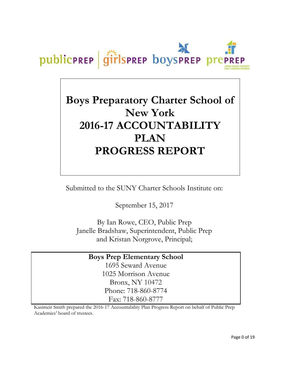

# **Boys Preparatory Charter School of New York 2016-17 ACCOUNTABILITY PLAN PROGRESS REPORT**

Submitted to the SUNY Charter Schools Institute on:

September 15, 2017

By Ian Rowe, CEO, Public Prep Janelle Bradshaw, Superintendent, Public Prep and Kristan Norgrove, Principal;

## **Boys Prep Elementary School**

1695 Seward Avenue 1025 Morrison Avenue Bronx, NY 10472 Phone: 718-860-8774 Fax: 718-860-8777

Kasimeir Smith prepared the 2016-17 Accountability Plan Progress Report on behalf of Public Prep Academies' board of trustees.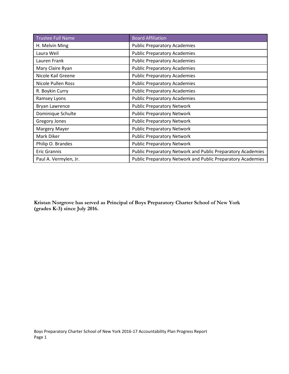| <b>Trustee Full Name</b> | <b>Board Affiliation</b>                                    |
|--------------------------|-------------------------------------------------------------|
| H. Melvin Ming           | <b>Public Preparatory Academies</b>                         |
| Laura Weil               | <b>Public Preparatory Academies</b>                         |
| Lauren Frank             | <b>Public Preparatory Academies</b>                         |
| Mary Claire Ryan         | <b>Public Preparatory Academies</b>                         |
| Nicole Kail Greene       | <b>Public Preparatory Academies</b>                         |
| Nicole Pullen Ross       | <b>Public Preparatory Academies</b>                         |
| R. Boykin Curry          | <b>Public Preparatory Academies</b>                         |
| Ramsey Lyons             | <b>Public Preparatory Academies</b>                         |
| Bryan Lawrence           | <b>Public Preparatory Network</b>                           |
| Dominique Schulte        | <b>Public Preparatory Network</b>                           |
| <b>Gregory Jones</b>     | <b>Public Preparatory Network</b>                           |
| <b>Margery Mayer</b>     | <b>Public Preparatory Network</b>                           |
| Mark Diker               | <b>Public Preparatory Network</b>                           |
| Philip O. Brandes        | <b>Public Preparatory Network</b>                           |
| <b>Eric Grannis</b>      | Public Preparatory Network and Public Preparatory Academies |
| Paul A. Vermylen, Jr.    | Public Preparatory Network and Public Preparatory Academies |

**Kristan Norgrove has served as Principal of Boys Preparatory Charter School of New York (grades K-3) since July 2016.**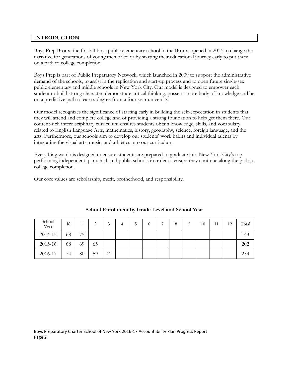## **INTRODUCTION**

Boys Prep Bronx, the first all-boys public elementary school in the Bronx, opened in 2014 to change the narrative for generations of young men of color by starting their educational journey early to put them on a path to college completion.

Boys Prep is part of Public Preparatory Network, which launched in 2009 to support the administrative demand of the schools, to assist in the replication and start-up process and to open future single-sex public elementary and middle schools in New York City. Our model is designed to empower each student to build strong character, demonstrate critical thinking, possess a core body of knowledge and be on a predictive path to earn a degree from a four-year university.

Our model recognizes the significance of starting early in building the self-expectation in students that they will attend and complete college and of providing a strong foundation to help get them there. Our content-rich interdisciplinary curriculum ensures students obtain knowledge, skills, and vocabulary related to English Language Arts, mathematics, history, geography, science, foreign language, and the arts. Furthermore, our schools aim to develop our students' work habits and individual talents by integrating the visual arts, music, and athletics into our curriculum.

Everything we do is designed to ensure students are prepared to graduate into New York City's top performing independent, parochial, and public schools in order to ensure they continue along the path to college completion.

Our core values are scholarship, merit, brotherhood, and responsibility.

| School<br>Year | K  |    | ∍<br>∠ | $\mathbf{z}$ | 4 | C | $\circ$ | ⇁ | 8 | $\Omega$ | 10 | 11 | 12 | Total |
|----------------|----|----|--------|--------------|---|---|---------|---|---|----------|----|----|----|-------|
| 2014-15        | 68 | 75 |        |              |   |   |         |   |   |          |    |    |    | 143   |
| 2015-16        | 68 | 69 | 65     |              |   |   |         |   |   |          |    |    |    | 202   |
| 2016-17        | 74 | 80 | 59     | 41           |   |   |         |   |   |          |    |    |    | 254   |

## **School Enrollment by Grade Level and School Year**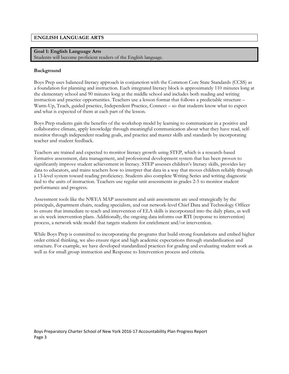## **ENGLISH LANGUAGE ARTS**

## **Goal 1: English Language Arts**

Students will become proficient readers of the English language.

## **Background**

Boys Prep uses balanced literacy approach in conjunction with the Common Core State Standards (CCSS) as a foundation for planning and instruction. Each integrated literacy block is approximately 110 minutes long at the elementary school and 90 minutes long at the middle school and includes both reading and writing instruction and practice opportunities. Teachers use a lesson format that follows a predictable structure – Warm-Up, Teach, guided practice, Independent Practice, Connect – so that students know what to expect and what is expected of them at each part of the lesson.

Boys Prep students gain the benefits of the workshop model by learning to communicate in a positive and collaborative climate, apply knowledge through meaningful communication about what they have read, selfmonitor through independent reading goals, and practice and master skills and standards by incorporating teacher and student feedback.

Teachers are trained and expected to monitor literacy growth using STEP, which is a research-based formative assessment, data management, and professional development system that has been proven to significantly improve student achievement in literacy. STEP assesses children's literacy skills, provides key data to educators, and trains teachers how to interpret that data in a way that moves children reliably through a 13-level system toward reading proficiency. Students also complete Writing Series and writing diagnostic tied to the units of instruction. Teachers use regular unit assessments in grades 2-5 to monitor student performance and progress.

Assessment tools like the NWEA MAP assessment and unit assessments are used strategically by the principals, department chairs, reading specialists, and our network-level Chief Data and Technology Officer to ensure that immediate re-teach and intervention of ELA skills is incorporated into the daily plans, as well as six week intervention plans. Additionally, the ongoing data informs our RTI (response to intervention) process, a network wide model that targets students for enrichment and/or intervention.

While Boys Prep is committed to incorporating the programs that build strong foundations and embed higher order critical thinking, we also ensure rigor and high academic expectations through standardization and structure. For example, we have developed standardized practices for grading and evaluating student work as well as for small group instruction and Response to Intervention process and criteria.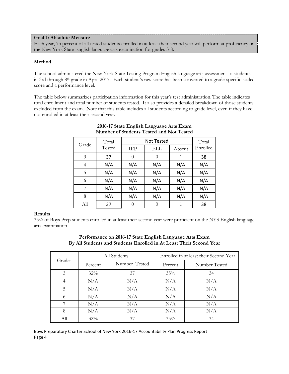### **Goal 1: Absolute Measure**

Each year, 75 percent of all tested students enrolled in at least their second year will perform at proficiency on the New York State English language arts examination for grades 3-8.

#### **Method**

The school administered the New York State Testing Program English language arts assessment to students in 3rd through 8th grade in April 2017. Each student's raw score has been converted to a grade-specific scaled score and a performance level.

The table below summarizes participation information for this year's test administration.The table indicates total enrollment and total number of students tested. It also provides a detailed breakdown of those students excluded from the exam. Note that this table includes all students according to grade level, even if they have not enrolled in at least their second year.

| Grade | Total<br>Tested |            | <b>Not Tested</b> |        |          |  |  |  |
|-------|-----------------|------------|-------------------|--------|----------|--|--|--|
|       |                 | <b>IEP</b> | ELL               | Absent | Enrolled |  |  |  |
| 3     | 37              | $\theta$   | $\theta$          |        | 38       |  |  |  |
| 4     | N/A             | N/A        | N/A               | N/A    | N/A      |  |  |  |
| 5     | N/A             | N/A        | N/A               | N/A    | N/A      |  |  |  |
| 6     | N/A             | N/A        | N/A               | N/A    | N/A      |  |  |  |
| 7     | N/A             | N/A        | N/A               | N/A    | N/A      |  |  |  |
| 8     | N/A             | N/A        | N/A               | N/A    | N/A      |  |  |  |
| All   | 37              | $\theta$   | $\Omega$          |        | 38       |  |  |  |

## **2016-17 State English Language Arts Exam Number of Students Tested and Not Tested**

#### **Results**

35% of Boys Prep students enrolled in at least their second year were proficient on the NYS English language arts examination.

|        |         | All Students  | Enrolled in at least their Second Year |               |  |  |
|--------|---------|---------------|----------------------------------------|---------------|--|--|
| Grades | Percent | Number Tested | Percent                                | Number Tested |  |  |
| 3      | 32%     | 37            | 35%                                    | 34            |  |  |
| 4      | N/A     | N/A           | N/A                                    | N/A           |  |  |
| 5      | N/A     | N/A           | N/A                                    | N/A           |  |  |
| 6      | N/A     | N/A           | N/A                                    | N/A           |  |  |
|        | N/A     | N/A           | N/A                                    | N/A           |  |  |
| 8      | N/A     | N/A           | N/A                                    | N/A           |  |  |
| All    | $32\%$  | 37            | 35%                                    | 34            |  |  |

## **Performance on 2016-17 State English Language Arts Exam By All Students and Students Enrolled in At Least Their Second Year**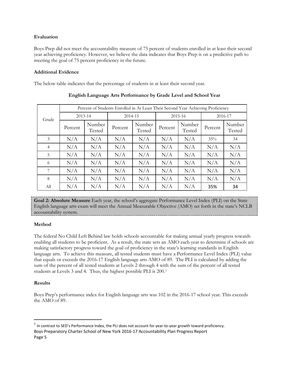## **Evaluation**

Boys Prep did not meet the accountability measure of 75 percent of students enrolled in at least their second year achieving proficiency. However, we believe the data indicates that Boys Prep is on a predictive path to meeting the goal of 75 percent proficiency in the future.

## **Additional Evidence**

The below table indicates that the percentage of students in at least their second year.

|       | Percent of Students Enrolled in At Least Their Second Year Achieving Proficiency |                  |         |                  |         |                  |         |                  |  |  |
|-------|----------------------------------------------------------------------------------|------------------|---------|------------------|---------|------------------|---------|------------------|--|--|
| Grade | 2013-14                                                                          |                  | 2014-15 |                  |         | 2015-16          | 2016-17 |                  |  |  |
|       | Percent                                                                          | Number<br>Tested | Percent | Number<br>Tested | Percent | Number<br>Tested | Percent | Number<br>Tested |  |  |
| 3     | N/A                                                                              | N/A              | N/A     | N/A              | N/A     | N/A              | 35%     | 34               |  |  |
| 4     | N/A                                                                              | N/A              | N/A     | N/A              | N/A     | N/A              | N/A     | N/A              |  |  |
| 5     | N/A                                                                              | N/A              | N/A     | N/A              | N/A     | N/A              | N/A     | N/A              |  |  |
| 6     | N/A                                                                              | N/A              | N/A     | N/A              | N/A     | N/A              | N/A     | N/A              |  |  |
| 7     | N/A                                                                              | N/A              | N/A     | N/A              | N/A     | N/A              | N/A     | N/A              |  |  |
| 8     | N/A                                                                              | N/A              | N/A     | N/A              | N/A     | N/A              | N/A     | N/A              |  |  |
| All   | N/A                                                                              | N/A              | N/A     | N/A              | N/A     | N/A              | 35%     | 34               |  |  |

**English Language Arts Performance by Grade Level and School Year**

**Goal 2: Absolute Measure** Each year, the school's aggregate Performance Level Index (PLI) on the State English language arts exam will meet the Annual Measurable Objective (AMO) set forth in the state's NCLB accountability system.

## **Method**

The federal No Child Left Behind law holds schools accountable for making annual yearly progress towards enabling all students to be proficient. As a result, the state sets an AMO each year to determine if schools are making satisfactory progress toward the goal of proficiency in the state's learning standards in English language arts. To achieve this measure, all tested students must have a Performance Level Index (PLI) value that equals or exceeds the 2016-17 English language arts AMO of 89. The PLI is calculated by adding the sum of the percent of all tested students at Levels 2 through 4 with the sum of the percent of all tested students at Levels 3 and 4. Thus, the highest possible PLI is 200.[1](#page-5-0)

## **Results**

Boys Prep's performance index for English language arts was 102 in the 2016-17 school year. This exceeds the AMO of 89.

<span id="page-5-0"></span>Boys Preparatory Charter School of New York 2016-17 Accountability Plan Progress Report Page 5  $<sup>1</sup>$  In contrast to SED's Performance Index, the PLI does not account for year-to-year growth toward proficiency.</sup>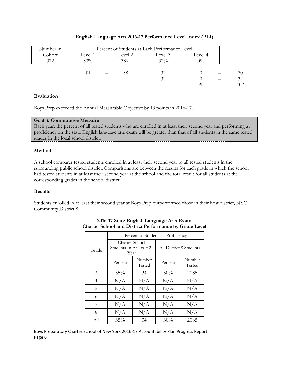| Number in | Percent of Students at Each Performance Level |     |               |      |         |  |         |  |     |
|-----------|-----------------------------------------------|-----|---------------|------|---------|--|---------|--|-----|
| Cohort    | Level 1                                       |     | Level 2       |      | Level 3 |  | Level 4 |  |     |
| 372       | 30%                                           |     | 38%<br>$32\%$ |      | $0\%$   |  |         |  |     |
|           |                                               |     |               |      |         |  |         |  |     |
|           | РI                                            | $=$ | 38            | $^+$ | 32      |  |         |  | 70  |
|           |                                               |     |               |      | 32      |  |         |  | 32  |
|           |                                               |     |               |      |         |  | PL      |  | 102 |
|           |                                               |     |               |      |         |  |         |  |     |

#### **English Language Arts 2016-17 Performance Level Index (PLI)**

## **Evaluation**

Boys Prep exceeded the Annual Measurable Objective by 13 points in 2016-17.

#### **Goal 3: Comparative Measure**

Each year, the percent of all tested students who are enrolled in at least their second year and performing at proficiency on the state English language arts exam will be greater than that of all students in the same tested grades in the local school district.

## **Method**

A school compares tested students enrolled in at least their second year to all tested students in the surrounding public school district. Comparisons are between the results for each grade in which the school had tested students in at least their second year at the school and the total result for all students at the corresponding grades in the school district.

#### **Results**

Students enrolled in at least their second year at Boys Prep outperformed those in their host district, NYC Community District 8.

|                | Percent of Students at Proficiency                             |                  |                         |                  |  |  |  |  |
|----------------|----------------------------------------------------------------|------------------|-------------------------|------------------|--|--|--|--|
| Grade          | Charter School<br>Students In At Least 2 <sup>nd</sup><br>Year |                  | All District 8 Students |                  |  |  |  |  |
|                | Percent                                                        | Number<br>Tested | Percent                 | Number<br>Tested |  |  |  |  |
| 3              | 35%                                                            | 34               | 30%                     | 2085             |  |  |  |  |
| $\overline{4}$ | N/A                                                            | N/A              | N/A                     | N/A              |  |  |  |  |
| 5              | N/A                                                            | N/A              | N/A                     | N/A              |  |  |  |  |
| 6              | N/A                                                            | N/A              | N/A                     | N/A              |  |  |  |  |
| 7              | N/A                                                            | N/A              | N/A                     | N/A              |  |  |  |  |
| 8              | N/A                                                            | N/A              | N/A                     | N/A              |  |  |  |  |
| All            | 35%                                                            | 34               | 30%                     | 2085             |  |  |  |  |

## **2016-17 State English Language Arts Exam Charter School and District Performance by Grade Level**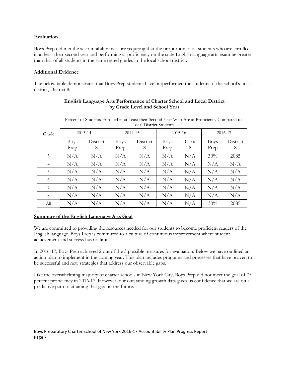## **Evaluation**

Boys Prep did met the accountability measure requiring that the proportion of all students who are enrolled in at least their second year and performing at proficiency on the state English language arts exam be greater than that of all students in the same tested grades in the local school district.

## **Additional Evidence**

The below table demonstrates that Boys Prep students have outperformed the students of the school's host district, District 8.

|                | Percent of Students Enrolled in at Least their Second Year Who Are at Proficiency Compared to<br><b>Local District Students</b> |               |                     |               |                     |               |                     |               |  |  |
|----------------|---------------------------------------------------------------------------------------------------------------------------------|---------------|---------------------|---------------|---------------------|---------------|---------------------|---------------|--|--|
| Grade          | 2013-14                                                                                                                         |               | 2014-15             |               |                     | 2015-16       |                     | 2016-17       |  |  |
|                | <b>Boys</b><br>Prep                                                                                                             | District<br>8 | <b>Boys</b><br>Prep | District<br>8 | <b>Boys</b><br>Prep | District<br>8 | <b>Boys</b><br>Prep | District<br>8 |  |  |
| 3              | N/A                                                                                                                             | N/A           | N/A                 | N/A           | N/A                 | N/A           | 30%                 | 2085          |  |  |
| $\overline{4}$ | N/A                                                                                                                             | N/A           | N/A                 | N/A           | N/A                 | N/A           | N/A                 | N/A           |  |  |
| 5              | N/A                                                                                                                             | N/A           | N/A                 | N/A           | N/A                 | N/A           | N/A                 | N/A           |  |  |
| 6              | N/A                                                                                                                             | N/A           | N/A                 | N/A           | N/A                 | N/A           | N/A                 | N/A           |  |  |
| 7              | N/A                                                                                                                             | N/A           | N/A                 | N/A           | N/A                 | N/A           | N/A                 | N/A           |  |  |
| 8              | N/A                                                                                                                             | N/A           | N/A                 | N/A           | N/A                 | N/A           | N/A                 | N/A           |  |  |
| All            | N/A                                                                                                                             | N/A           | N/A                 | N/A           | N/A                 | N/A           | 30%                 | 2085          |  |  |

## **English Language Arts Performance of Charter School and Local District by Grade Level and School Year**

## **Summary of the English Language Arts Goal**

We are committed to providing the resources needed for our students to become proficient readers of the English language. Boys Prep is committed to a culture of continuous improvement where student achievement and success has no limit.

In 2016-17, Boys Prep achieved 2 out of the 3 possible measures for evaluation. Below we have outlined an action plan to implement in the coming year. This plan includes programs and processes that have proven to be successful and new strategies that address our observable gaps.

Like the overwhelming majority of charter schools in New York City, Boys Prep did not meet the goal of 75 percent proficiency in 2016-17. However, our outstanding growth data gives us confidence that we are on a predictive path to attaining that goal in the future.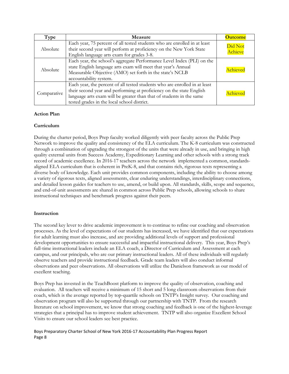| Type        | Measure                                                                                                                                                                                                                                                                   | <b>Outcome</b>     |
|-------------|---------------------------------------------------------------------------------------------------------------------------------------------------------------------------------------------------------------------------------------------------------------------------|--------------------|
| Absolute    | Each year, 75 percent of all tested students who are enrolled in at least<br>their second year will perform at proficiency on the New York State<br>English language arts exam for grades 3-8.                                                                            | Did Not<br>Achieve |
| Absolute    | Each year, the school's aggregate Performance Level Index (PLI) on the<br>state English language arts exam will meet that year's Annual<br>Measurable Objective (AMO) set forth in the state's NCLB<br>accountability system.                                             | Achieved           |
| Comparative | Each year, the percent of all tested students who are enrolled in at least<br>their second year and performing at proficiency on the state English<br>language arts exam will be greater than that of students in the same<br>tested grades in the local school district. | Achieved           |

## **Action Plan**

## **Curriculum**

During the charter period, Boys Prep faculty worked diligently with peer faculty across the Public Prep Network to improve the quality and consistency of the ELA curriculum. The K-8 curriculum was constructed through a combination of upgrading the strongest of the units that were already in use, and bringing in high quality external units from Success Academy, Expeditionary Learning and other schools with a strong track record of academic excellence. In 2016-17 teachers across the network implemented a common, standardsaligned ELA curriculum that is coherent in PreK-8, and that contains rich, rigorous texts representing a diverse body of knowledge. Each unit provides common components, including the ability to choose among a variety of rigorous texts, aligned assessments, clear enduring understandings, interdisciplinary connections, and detailed lesson guides for teachers to use, amend, or build upon. All standards, skills, scope and sequence, and end-of-unit assessments are shared in common across Public Prep schools, allowing schools to share instructional techniques and benchmark progress against their peers.

## **Instruction**

The second key lever to drive academic improvement is to continue to refine our coaching and observation processes. As the level of expectations of our students has increased, we have identified that our expectations for adult learning must also increase, and are providing additional levels of support and professional development opportunities to ensure successful and impactful instructional delivery. This year, Boys Prep's full-time instructional leaders include an ELA coach, a Director of Curriculum and Assessment at each campus, and our principals, who are our primary instructional leaders. All of these individuals will regularly observe teachers and provide instructional feedback. Grade team leaders will also conduct informal observations and peer observations. All observations will utilize the Danielson framework as our model of excellent teaching.

Boys Prep has invested in the TeachBoost platform to improve the quality of observation, coaching and evaluation. All teachers will receive a minimum of 15 short and 5 long classroom observations from their coach, which is the average reported by top-quartile schools on TNTP's Insight survey. Our coaching and observation program will also be supported through our partnership with TNTP. From the research literature on school improvement, we know that strong coaching and feedback is one of the highest-leverage strategies that a principal has to improve student achievement. TNTP will also organize Excellent School Visits to ensure our school leaders see best practice.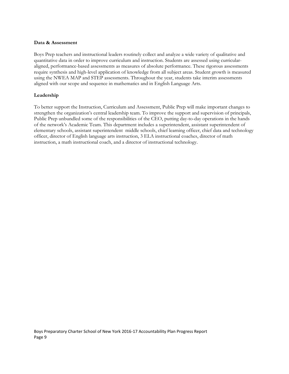#### **Data & Assessment**

Boys Prep teachers and instructional leaders routinely collect and analyze a wide variety of qualitative and quantitative data in order to improve curriculum and instruction. Students are assessed using curricularaligned, performance-based assessments as measures of absolute performance. These rigorous assessments require synthesis and high-level application of knowledge from all subject areas. Student growth is measured using the NWEA MAP and STEP assessments. Throughout the year, students take interim assessments aligned with our scope and sequence in mathematics and in English Language Arts.

## **Leadership**

To better support the Instruction, Curriculum and Assessment, Public Prep will make important changes to strengthen the organization's central leadership team. To improve the support and supervision of principals, Public Prep unbundled some of the responsibilities of the CEO, putting day-to-day operations in the hands of the network's Academic Team. This department includes a superintendent, assistant superintendent of elementary schools, assistant superintendent middle schools, chief learning officer, chief data and technology officer, director of English language arts instruction, 3 ELA instructional coaches, director of math instruction, a math instructional coach, and a director of instructional technology.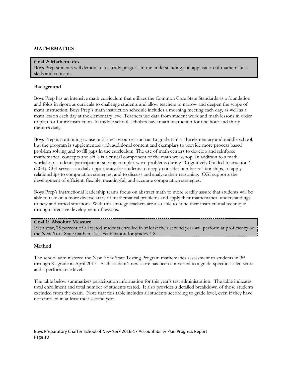## **MATHEMATICS**

#### **Goal 2: Mathematics**

Boys Prep students will demonstrate steady progress in the understanding and application of mathematical skills and concepts.

#### **Background**

Boys Prep has an intensive math curriculum that utilizes the Common Core State Standards as a foundation and folds in rigorous curricula to challenge students and allow teachers to narrow and deepen the scope of math instruction. Boys Prep's math instruction schedule includes a morning meeting each day, as well as a math lesson each day at the elementary level Teachers use data from student work and math lessons in order to plan for future instruction. In middle school, scholars have math instruction for one hour and thirty minutes daily.

Boys Prep is continuing to use publisher resources such as Engrade NY at the elementary and middle school, but the program is supplemented with additional content and exemplars to provide more process based problem solving and to fill gaps in the curriculum. The use of math centers to develop and reinforce mathematical concepts and skills is a critical component of the math workshop. In addition to a math workshop, students participate in solving complex word problems during "Cognitively Guided Instruction" (CGI). CGI serves as a daily opportunity for students to deeply consider number relationships, to apply relationships to computation strategies, and to discuss and analyze their reasoning. CGI supports the development of efficient, flexible, meaningful, and accurate computation strategies.

Boys Prep's instructional leadership teams focus on abstract math to more readily assure that students will be able to take on a more diverse array of mathematical problems and apply their mathematical understandings to new and varied situations. With this strategy teachers are also able to hone their instructional technique through intensive development of lessons.

#### **Goal 1: Absolute Measure**

Each year, 75 percent of all tested students enrolled in at least their second year will perform at proficiency on the New York State mathematics examination for grades 3-8.

#### **Method**

The school administered the New York State Testing Program mathematics assessment to students in 3rd through 8th grade in April 2017. Each student's raw score has been converted to a grade-specific scaled score and a performance level.

The table below summarizes participation information for this year's test administration. The table indicates total enrollment and total number of students tested. It also provides a detailed breakdown of those students excluded from the exam. Note that this table includes all students according to grade level, even if they have not enrolled in at least their second year.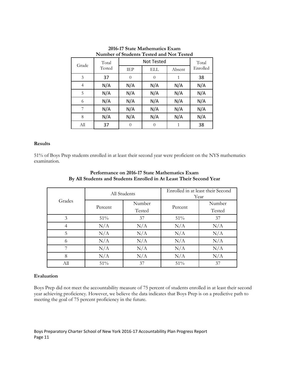| Grade | Total<br>Tested |            | Not Tested |        |          |  |  |  |
|-------|-----------------|------------|------------|--------|----------|--|--|--|
|       |                 | <b>TEP</b> | ELL        | Absent | Enrolled |  |  |  |
| 3     | 37              | $\theta$   | $\theta$   | 1      | 38       |  |  |  |
| 4     | N/A             | N/A        | N/A        | N/A    | N/A      |  |  |  |
| 5     | N/A             | N/A        | N/A        | N/A    | N/A      |  |  |  |
| 6     | N/A             | N/A        | N/A        | N/A    | N/A      |  |  |  |
| 7     | N/A             | N/A        | N/A        | N/A    | N/A      |  |  |  |
| 8     | N/A             | N/A        | N/A        | N/A    | N/A      |  |  |  |
| Аll   | 37              | $\theta$   | $\Omega$   | 1      | 38       |  |  |  |

**2016-17 State Mathematics Exam Number of Students Tested and Not Tested**

## **Results**

51% of Boys Prep students enrolled in at least their second year were proficient on the NYS mathematics examination.

|        | All Students |        | Enrolled in at least their Second<br>Year |        |  |
|--------|--------------|--------|-------------------------------------------|--------|--|
| Grades |              | Number |                                           | Number |  |
|        | Percent      | Tested | Percent                                   | Tested |  |
| 3      | 51%          | 37     | 51%                                       | 37     |  |
| 4      | N/A          | N/A    | N/A                                       | N/A    |  |
| 5      | N/A          | N/A    | N/A                                       | N/A    |  |
| 6      | N/A          | N/A    | N/A                                       | N/A    |  |
|        | N/A          | N/A    | N/A                                       | N/A    |  |
| 8      | N/A          | N/A    | N/A                                       | N/A    |  |
| All    | 51%          | 37     | 51%                                       | 37     |  |

## **Performance on 2016-17 State Mathematics Exam By All Students and Students Enrolled in At Least Their Second Year**

## **Evaluation**

Boys Prep did not meet the accountability measure of 75 percent of students enrolled in at least their second year achieving proficiency. However, we believe the data indicates that Boys Prep is on a predictive path to meeting the goal of 75 percent proficiency in the future.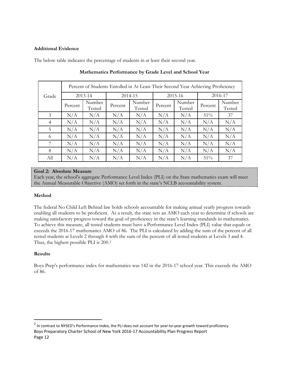#### **Additional Evidence**

The below table indicates the percentage of students in at least their second year.

|                | Percent of Students Enrolled in At Least Their Second Year Achieving Proficiency |                  |             |                  |         |                  |         |                  |  |  |
|----------------|----------------------------------------------------------------------------------|------------------|-------------|------------------|---------|------------------|---------|------------------|--|--|
| Grade          |                                                                                  | $2013 - 14$      | $2014 - 15$ |                  |         | 2015-16          | 2016-17 |                  |  |  |
|                | Percent                                                                          | Number<br>Tested | Percent     | Number<br>Tested | Percent | Number<br>Tested | Percent | Number<br>Tested |  |  |
| 3              | N/A                                                                              | N/A              | N/A         | N/A              | N/A     | N/A              | $51\%$  | 37               |  |  |
| $\overline{4}$ | N/A                                                                              | N/A              | N/A         | N/A              | N/A     | N/A              | N/A     | N/A              |  |  |
| 5              | N/A                                                                              | N/A              | N/A         | N/A              | N/A     | N/A              | N/A     | N/A              |  |  |
| 6              | N/A                                                                              | N/A              | N/A         | N/A              | N/A     | N/A              | N/A     | N/A              |  |  |
| 7              | N/A                                                                              | N/A              | N/A         | N/A              | N/A     | N/A              | N/A     | N/A              |  |  |
| 8              | N/A                                                                              | N/A              | N/A         | N/A              | N/A     | N/A              | N/A     | N/A              |  |  |
| All            | N/A                                                                              | N/A              | N/A         | N/A              | N/A     | N/A              | 51%     | 37               |  |  |

#### **Mathematics Performance by Grade Level and School Year**

## **Goal 2: Absolute Measure**

Each year, the school's aggregate Performance Level Index (PLI) on the State mathematics exam will meet the Annual Measurable Objective (AMO) set forth in the state's NCLB accountability system.

## **Method**

The federal No Child Left Behind law holds schools accountable for making annual yearly progress towards enabling all students to be proficient. As a result, the state sets an AMO each year to determine if schools are making satisfactory progress toward the goal of proficiency in the state's learning standards in mathematics. To achieve this measure, all tested students must have a Performance Level Index (PLI) value that equals or exceeds the 2016-17 mathematics AMO of 86. The PLI is calculated by adding the sum of the percent of all tested students at Levels 2 through 4 with the sum of the percent of all tested students at Levels 3 and 4. Thus, the highest possible PLI is 200.[2](#page-12-0)

## **Results**

Boys Prep's performance index for mathematics was 142 in the 2016-17 school year. This exceeds the AMO of 86.

<span id="page-12-0"></span>Boys Preparatory Charter School of New York 2016-17 Accountability Plan Progress Report Page 12  $2$  In contrast to NYSED's Performance Index, the PLI does not account for year-to-year growth toward proficiency.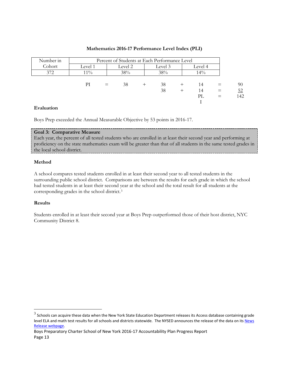| Number in | Percent of Students at Each Performance Level |  |         |  |         |  |         |     |     |
|-----------|-----------------------------------------------|--|---------|--|---------|--|---------|-----|-----|
| Cohort    | Level 1                                       |  | Level 2 |  | Level 3 |  | Level 4 |     |     |
| 372       | $11\%$                                        |  | 38%     |  | 38%     |  | $14\%$  |     |     |
|           |                                               |  |         |  |         |  |         |     |     |
|           | РI                                            |  | 38      |  | 38      |  | 14      |     | 90  |
|           |                                               |  |         |  | 38      |  | 14      | $=$ | 52  |
|           |                                               |  |         |  |         |  | PL      |     | 142 |
|           |                                               |  |         |  |         |  |         |     |     |

## **Mathematics 2016-17 Performance Level Index (PLI)**

#### **Evaluation**

Boys Prep exceeded the Annual Measurable Objective by 53 points in 2016-17.

## **Goal 3: Comparative Measure**

Each year, the percent of all tested students who are enrolled in at least their second year and performing at proficiency on the state mathematics exam will be greater than that of all students in the same tested grades in the local school district.

#### **Method**

A school compares tested students enrolled in at least their second year to all tested students in the surrounding public school district. Comparisons are between the results for each grade in which the school had tested students in at least their second year at the school and the total result for all students at the corresponding grades in the school district.[3](#page-13-0)

## **Results**

Students enrolled in at least their second year at Boys Prep outperformed those of their host district, NYC Community District 8.

<span id="page-13-0"></span> $3$  Schools can acquire these data when the New York State Education Department releases its Access database containing grade level ELA and math test results for all schools and districts statewide. The NYSED announces the release of the data on its News [Release webpage.](http://www.oms.nysed.gov/press/)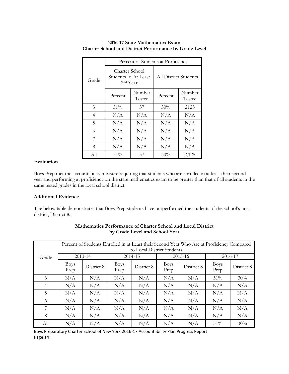|                | Percent of Students at Proficiency                             |                  |                       |                  |  |  |  |
|----------------|----------------------------------------------------------------|------------------|-----------------------|------------------|--|--|--|
| Grade          | Charter School<br>Students In At Least<br>2 <sup>nd</sup> Year |                  | All District Students |                  |  |  |  |
|                | Percent                                                        | Number<br>Tested | Percent               | Number<br>Tested |  |  |  |
| 3              | 51%                                                            | 37               | 30%                   | 2125             |  |  |  |
| $\overline{4}$ | N/A                                                            | N/A              | N/A                   | N/A              |  |  |  |
| 5              | N/A                                                            | N/A              | N/A                   | N/A              |  |  |  |
| 6              | N/A                                                            | N/A              | N/A                   | N/A              |  |  |  |
| 7              | N/A                                                            | N/A              | N/A                   | N/A              |  |  |  |
| 8              | N/A                                                            | N/A              | N/A                   | N/A              |  |  |  |
| All            | 51%                                                            | 37               | 30%                   | 2,125            |  |  |  |

## **2016-17 State Mathematics Exam Charter School and District Performance by Grade Level**

#### **Evaluation**

Boys Prep met the accountability measure requiring that students who are enrolled in at least their second year and performing at proficiency on the state mathematics exam to be greater than that of all students in the same tested grades in the local school district.

#### **Additional Evidence**

The below table demonstrates that Boys Prep students have outperformed the students of the school's host district, District 8.

|                | Percent of Students Enrolled in at Least their Second Year Who Are at Proficiency Compared<br>to Local District Students |            |                     |            |                     |            |                     |            |
|----------------|--------------------------------------------------------------------------------------------------------------------------|------------|---------------------|------------|---------------------|------------|---------------------|------------|
| Grade          | 2013-14                                                                                                                  |            | 2014-15             |            | 2015-16             |            | 2016-17             |            |
|                | <b>Boys</b><br>Prep                                                                                                      | District 8 | <b>Boys</b><br>Prep | District 8 | <b>Boys</b><br>Prep | District 8 | <b>Boys</b><br>Prep | District 8 |
| 3              | N/A                                                                                                                      | N/A        | N/A                 | N/A        | N/A                 | N/A        | 51%                 | 30%        |
| $\overline{4}$ | N/A                                                                                                                      | N/A        | N/A                 | N/A        | N/A                 | N/A        | N/A                 | N/A        |
| 5              | N/A                                                                                                                      | N/A        | N/A                 | N/A        | N/A                 | N/A        | N/A                 | N/A        |
| 6              | N/A                                                                                                                      | N/A        | N/A                 | N/A        | N/A                 | N/A        | N/A                 | N/A        |
|                | N/A                                                                                                                      | N/A        | N/A                 | N/A        | N/A                 | N/A        | N/A                 | N/A        |
| 8              | N/A                                                                                                                      | N/A        | N/A                 | N/A        | N/A                 | N/A        | N/A                 | N/A        |
| All            | N/A                                                                                                                      | N/A        | N/A                 | N/A        | N/A                 | N/A        | 51%                 | 30%        |

#### **Mathematics Performance of Charter School and Local District by Grade Level and School Year**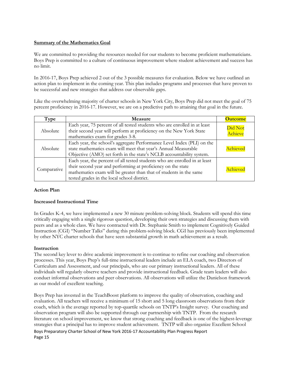## **Summary of the Mathematics Goal**

We are committed to providing the resources needed for our students to become proficient mathematicians. Boys Prep is committed to a culture of continuous improvement where student achievement and success has no limit.

In 2016-17, Boys Prep achieved 2 out of the 3 possible measures for evaluation. Below we have outlined an action plan to implement in the coming year. This plan includes programs and processes that have proven to be successful and new strategies that address our observable gaps.

Like the overwhelming majority of charter schools in New York City, Boys Prep did not meet the goal of 75 percent proficiency in 2016-17. However, we are on a predictive path to attaining that goal in the future.

| Type        | Measure                                                                                                                                                                                                                                                         | <b>Outcome</b>     |
|-------------|-----------------------------------------------------------------------------------------------------------------------------------------------------------------------------------------------------------------------------------------------------------------|--------------------|
| Absolute    | Each year, 75 percent of all tested students who are enrolled in at least<br>their second year will perform at proficiency on the New York State<br>mathematics exam for grades 3-8.                                                                            | Did Not<br>Achieve |
| Absolute    | Each year, the school's aggregate Performance Level Index (PLI) on the<br>state mathematics exam will meet that year's Annual Measurable<br>Objective (AMO) set forth in the state's NCLB accountability system.                                                | Achieved           |
| Comparative | Each year, the percent of all tested students who are enrolled in at least<br>their second year and performing at proficiency on the state<br>mathematics exam will be greater than that of students in the same<br>tested grades in the local school district. | Achieved           |

## **Action Plan**

## **Increased Instructional Time**

In Grades K-4, we have implemented a new 30 minute problem-solving block. Students will spend this time critically engaging with a single rigorous question, developing their own strategies and discussing them with peers and as a whole class. We have contracted with Dr. Stephanie Smith to implement Cognitively Guided Instruction (CGI) "Number Talks" during this problem-solving block. CGI has previously been implemented by other NYC charter schools that have seen substantial growth in math achievement as a result.

## **Instruction**

The second key lever to drive academic improvement is to continue to refine our coaching and observation processes. This year, Boys Prep's full-time instructional leaders include an ELA coach, two Directors of Curriculum and Assessment, and our principals, who are our primary instructional leaders. All of these individuals will regularly observe teachers and provide instructional feedback. Grade team leaders will also conduct informal observations and peer observations. All observations will utilize the Danielson framework as our model of excellent teaching.

Boys Preparatory Charter School of New York 2016-17 Accountability Plan Progress Report Page 15 Boys Prep has invested in the TeachBoost platform to improve the quality of observation, coaching and evaluation. All teachers will receive a minimum of 15 short and 5 long classroom observations from their coach, which is the average reported by top-quartile schools on TNTP's Insight survey. Our coaching and observation program will also be supported through our partnership with TNTP. From the research literature on school improvement, we know that strong coaching and feedback is one of the highest-leverage strategies that a principal has to improve student achievement. TNTP will also organize Excellent School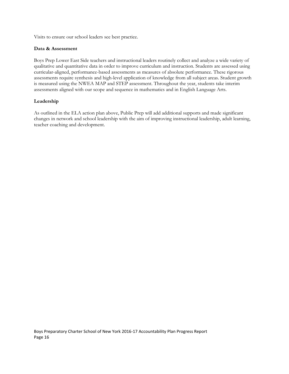Visits to ensure our school leaders see best practice.

#### **Data & Assessment**

Boys Prep Lower East Side teachers and instructional leaders routinely collect and analyze a wide variety of qualitative and quantitative data in order to improve curriculum and instruction. Students are assessed using curricular-aligned, performance-based assessments as measures of absolute performance. These rigorous assessments require synthesis and high-level application of knowledge from all subject areas. Student growth is measured using the NWEA MAP and STEP assessment. Throughout the year, students take interim assessments aligned with our scope and sequence in mathematics and in English Language Arts.

#### **Leadership**

As outlined in the ELA action plan above, Public Prep will add additional supports and made significant changes in network and school leadership with the aim of improving instructional leadership, adult learning, teacher coaching and development.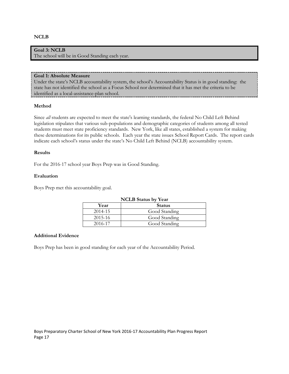#### **NCLB**

## **Goal 3: NCLB**

The school will be in Good Standing each year.

#### **Goal 1: Absolute Measure**

Under the state's NCLB accountability system, the school's Accountability Status is in good standing: the state has not identified the school as a Focus School nor determined that it has met the criteria to be identified as a local-assistance-plan school.

#### **Method**

Since *all* students are expected to meet the state's learning standards, the federal No Child Left Behind legislation stipulates that various sub-populations and demographic categories of students among all tested students must meet state proficiency standards. New York, like all states, established a system for making these determinations for its public schools. Each year the state issues School Report Cards. The report cards indicate each school's status under the state's No Child Left Behind (NCLB) accountability system.

#### **Results**

For the 2016-17 school year Boys Prep was in Good Standing.

#### **Evaluation**

Boys Prep met this accountability goal.

| <b>NCLB</b> Status by Year |               |  |  |  |
|----------------------------|---------------|--|--|--|
| Year                       | <b>Status</b> |  |  |  |
| 2014-15                    | Good Standing |  |  |  |
| 2015-16                    | Good Standing |  |  |  |
| 2016-17                    | Good Standing |  |  |  |

#### **Additional Evidence**

Boys Prep has been in good standing for each year of the Accountability Period.